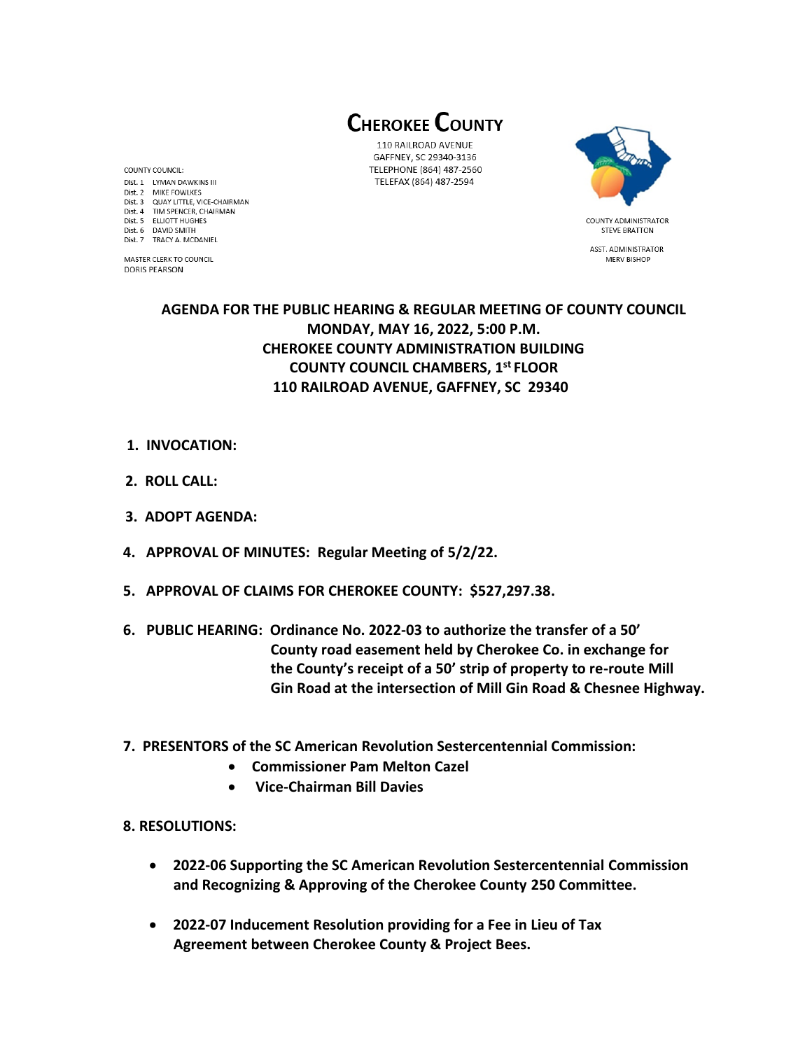**CHEROKEE COUNTY** 

110 RAILROAD AVENUE GAFFNEY, SC 29340-3136 TELEPHONE (864) 487-2560 TELEFAX (864) 487-2594



**STEVE BRATTON** ASST. ADMINISTRATOR MERV BISHOP

## **AGENDA FOR THE PUBLIC HEARING & REGULAR MEETING OF COUNTY COUNCIL MONDAY, MAY 16, 2022, 5:00 P.M. CHEROKEE COUNTY ADMINISTRATION BUILDING COUNTY COUNCIL CHAMBERS, 1 st FLOOR 110 RAILROAD AVENUE, GAFFNEY, SC 29340**

- **1. INVOCATION:**
- **2. ROLL CALL:**

COUNTY COUNCIL: Dist. 1 LYMAN DAWKINS III

Dist. 2 MIKE FOWLKES Dist. 3 QUAY LITTLE, VICE-CHAIRMAN Dist. 4 TIM SPENCER, CHAIRMAN Dist. 5 ELLIOTT HUGHES

Dist. 6 DAVID SMITH

**DORIS PEARSON** 

Dist. 7 TRACY A. MCDANIEL

MASTER CLERK TO COUNCIL

- **3. ADOPT AGENDA:**
- **4. APPROVAL OF MINUTES: Regular Meeting of 5/2/22.**
- **5. APPROVAL OF CLAIMS FOR CHEROKEE COUNTY: \$527,297.38.**
- **6. PUBLIC HEARING: Ordinance No. 2022-03 to authorize the transfer of a 50' County road easement held by Cherokee Co. in exchange for the County's receipt of a 50' strip of property to re-route Mill Gin Road at the intersection of Mill Gin Road & Chesnee Highway.**
- **7. PRESENTORS of the SC American Revolution Sestercentennial Commission:** 
	- **Commissioner Pam Melton Cazel**
	- **Vice-Chairman Bill Davies**
- **8. RESOLUTIONS:** 
	- **2022-06 Supporting the SC American Revolution Sestercentennial Commission and Recognizing & Approving of the Cherokee County 250 Committee.**
	- **2022-07 Inducement Resolution providing for a Fee in Lieu of Tax Agreement between Cherokee County & Project Bees.**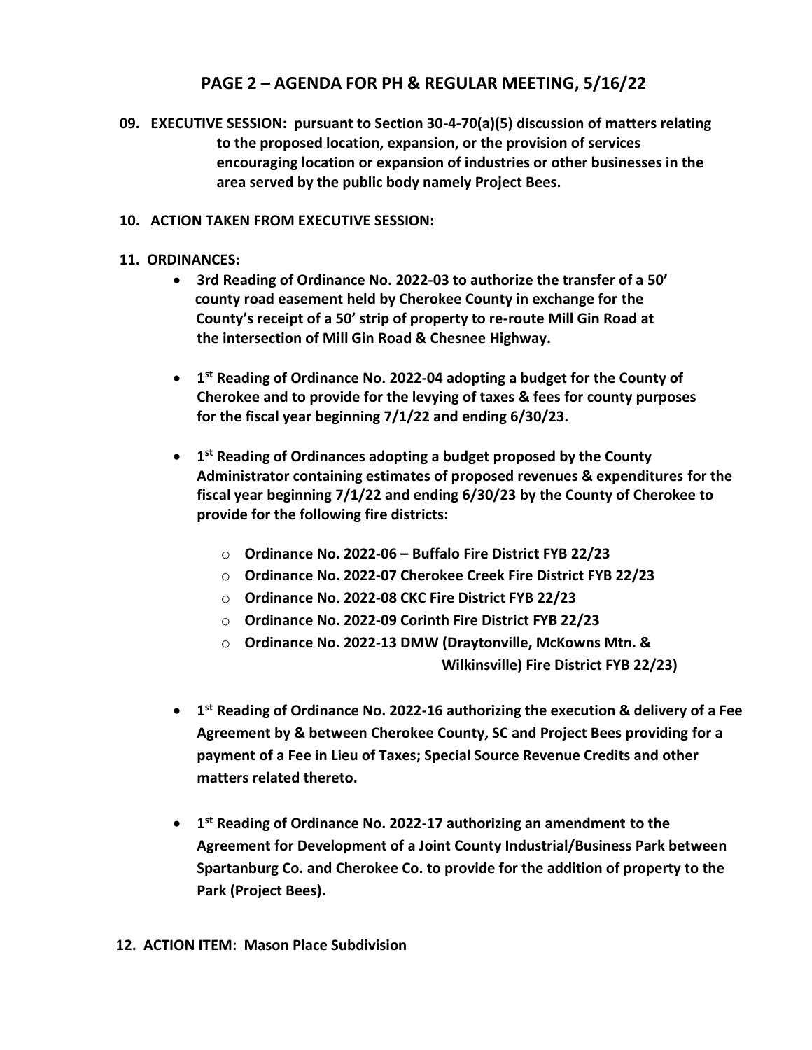## **PAGE 2 – AGENDA FOR PH & REGULAR MEETING, 5/16/22**

 **09. EXECUTIVE SESSION: pursuant to Section 30-4-70(a)(5) discussion of matters relating to the proposed location, expansion, or the provision of services encouraging location or expansion of industries or other businesses in the area served by the public body namely Project Bees.**

## **10. ACTION TAKEN FROM EXECUTIVE SESSION:**

- **11. ORDINANCES:** 
	- **3rd Reading of Ordinance No. 2022-03 to authorize the transfer of a 50' county road easement held by Cherokee County in exchange for the County's receipt of a 50' strip of property to re-route Mill Gin Road at the intersection of Mill Gin Road & Chesnee Highway.**
	- **1 st Reading of Ordinance No. 2022-04 adopting a budget for the County of Cherokee and to provide for the levying of taxes & fees for county purposes for the fiscal year beginning 7/1/22 and ending 6/30/23.**
	- **1 st Reading of Ordinances adopting a budget proposed by the County Administrator containing estimates of proposed revenues & expenditures for the fiscal year beginning 7/1/22 and ending 6/30/23 by the County of Cherokee to provide for the following fire districts:**
		- o **Ordinance No. 2022-06 – Buffalo Fire District FYB 22/23**
		- o **Ordinance No. 2022-07 Cherokee Creek Fire District FYB 22/23**
		- o **Ordinance No. 2022-08 CKC Fire District FYB 22/23**
		- o **Ordinance No. 2022-09 Corinth Fire District FYB 22/23**
		- o **Ordinance No. 2022-13 DMW (Draytonville, McKowns Mtn. & Wilkinsville) Fire District FYB 22/23)**
	- **1 st Reading of Ordinance No. 2022-16 authorizing the execution & delivery of a Fee Agreement by & between Cherokee County, SC and Project Bees providing for a payment of a Fee in Lieu of Taxes; Special Source Revenue Credits and other matters related thereto.**
	- **1 st Reading of Ordinance No. 2022-17 authorizing an amendment to the Agreement for Development of a Joint County Industrial/Business Park between Spartanburg Co. and Cherokee Co. to provide for the addition of property to the Park (Project Bees).**